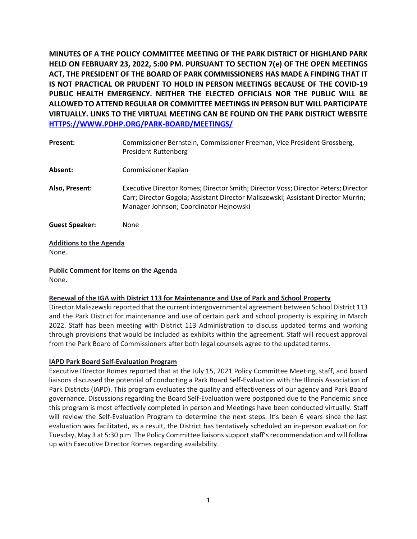**MINUTES OF A THE POLICY COMMITTEE MEETING OF THE PARK DISTRICT OF HIGHLAND PARK HELD ON FEBRUARY 23, 2022, 5:00 PM. PURSUANT TO SECTION 7(e) OF THE OPEN MEETINGS ACT, THE PRESIDENT OF THE BOARD OF PARK COMMISSIONERS HAS MADE A FINDING THAT IT IS NOT PRACTICAL OR PRUDENT TO HOLD IN PERSON MEETINGS BECAUSE OF THE COVID-19 PUBLIC HEALTH EMERGENCY. NEITHER THE ELECTED OFFICIALS NOR THE PUBLIC WILL BE ALLOWED TO ATTEND REGULAR OR COMMITTEE MEETINGS IN PERSON BUT WILL PARTICIPATE VIRTUALLY. LINKS TO THE VIRTUAL MEETING CAN BE FOUND ON THE PARK DISTRICT WEBSITE [HTTPS://WWW.PDHP.ORG/PARK-BOARD/MEETINGS/](https://www.pdhp.org/PARK-BOARD/MEETINGS/)**

| Present:              | Commissioner Bernstein, Commissioner Freeman, Vice President Grossberg,<br><b>President Ruttenberg</b>                                                                                                            |
|-----------------------|-------------------------------------------------------------------------------------------------------------------------------------------------------------------------------------------------------------------|
| Absent:               | Commissioner Kaplan                                                                                                                                                                                               |
| Also, Present:        | Executive Director Romes; Director Smith; Director Voss; Director Peters; Director<br>Carr; Director Gogola; Assistant Director Maliszewski; Assistant Director Murrin;<br>Manager Johnson; Coordinator Hejnowski |
| <b>Guest Speaker:</b> | None                                                                                                                                                                                                              |

# **Additions to the Agenda**  None.

**Public Comment for Items on the Agenda**  None.

# **Renewal of the IGA with District 113 for Maintenance and Use of Park and School Property**

Director Maliszewski reported that the current intergovernmental agreement between School District 113 and the Park District for maintenance and use of certain park and school property is expiring in March 2022. Staff has been meeting with District 113 Administration to discuss updated terms and working through provisions that would be included as exhibits within the agreement. Staff will request approval from the Park Board of Commissioners after both legal counsels agree to the updated terms.

# **IAPD Park Board Self-Evaluation Program**

Executive Director Romes reported that at the July 15, 2021 Policy Committee Meeting, staff, and board liaisons discussed the potential of conducting a Park Board Self-Evaluation with the Illinois Association of Park Districts (IAPD). This program evaluates the quality and effectiveness of our agency and Park Board governance. Discussions regarding the Board Self-Evaluation were postponed due to the Pandemic since this program is most effectively completed in person and Meetings have been conducted virtually. Staff will review the Self-Evaluation Program to determine the next steps. It's been 6 years since the last evaluation was facilitated, as a result, the District has tentatively scheduled an in-person evaluation for Tuesday, May 3 at 5:30 p.m. The Policy Committee liaisons support staff's recommendation and will follow up with Executive Director Romes regarding availability.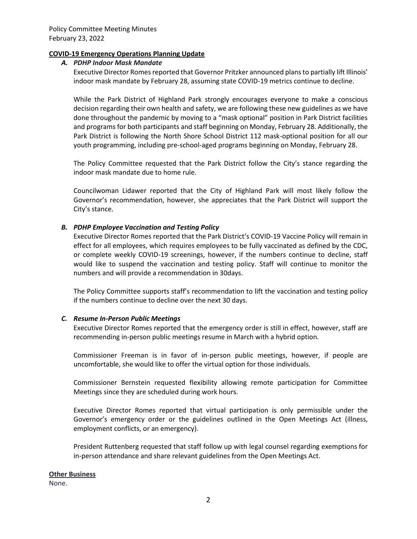### **COVID-19 Emergency Operations Planning Update**

### *A. PDHP Indoor Mask Mandate*

Executive Director Romes reported that Governor Pritzker announced plans to partially lift Illinois' indoor mask mandate by February 28, assuming state COVID-19 metrics continue to decline.

While the Park District of Highland Park strongly encourages everyone to make a conscious decision regarding their own health and safety, we are following these new guidelines as we have done throughout the pandemic by moving to a "mask optional" position in Park District facilities and programs for both participants and staff beginning on Monday, February 28. Additionally, the Park District is following the North Shore School District 112 mask-optional position for all our youth programming, including pre-school-aged programs beginning on Monday, February 28.

The Policy Committee requested that the Park District follow the City's stance regarding the indoor mask mandate due to home rule.

Councilwoman Lidawer reported that the City of Highland Park will most likely follow the Governor's recommendation, however, she appreciates that the Park District will support the City's stance.

# *B. PDHP Employee Vaccination and Testing Policy*

Executive Director Romes reported that the Park District's COVID-19 Vaccine Policy will remain in effect for all employees, which requires employees to be fully vaccinated as defined by the CDC, or complete weekly COVID-19 screenings, however, if the numbers continue to decline, staff would like to suspend the vaccination and testing policy. Staff will continue to monitor the numbers and will provide a recommendation in 30days.

The Policy Committee supports staff's recommendation to lift the vaccination and testing policy if the numbers continue to decline over the next 30 days.

# *C. Resume In-Person Public Meetings*

Executive Director Romes reported that the emergency order is still in effect, however, staff are recommending in-person public meetings resume in March with a hybrid option.

Commissioner Freeman is in favor of in-person public meetings, however, if people are uncomfortable, she would like to offer the virtual option for those individuals.

Commissioner Bernstein requested flexibility allowing remote participation for Committee Meetings since they are scheduled during work hours.

Executive Director Romes reported that virtual participation is only permissible under the Governor's emergency order or the guidelines outlined in the Open Meetings Act (illness, employment conflicts, or an emergency).

President Ruttenberg requested that staff follow up with legal counsel regarding exemptions for in-person attendance and share relevant guidelines from the Open Meetings Act.

#### **Other Business**

None.